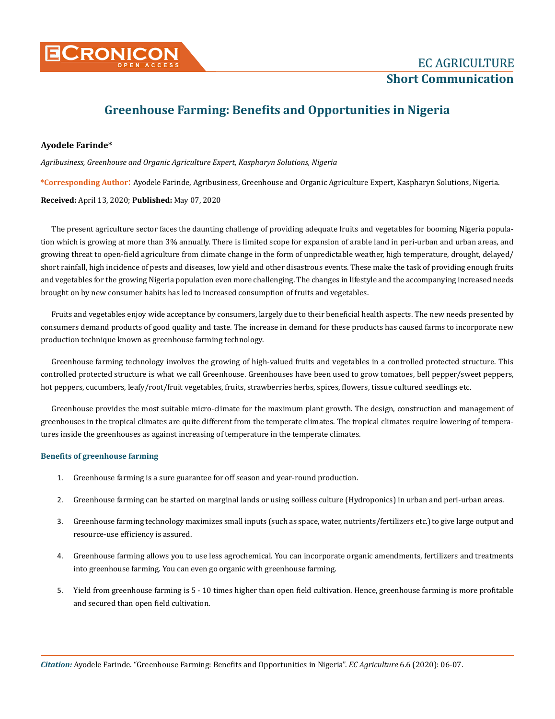

# **Greenhouse Farming: Benefits and Opportunities in Nigeria**

## **Ayodele Farinde\***

*Agribusiness, Greenhouse and Organic Agriculture Expert, Kaspharyn Solutions, Nigeria* 

**\*Corresponding Author**: Ayodele Farinde, Agribusiness, Greenhouse and Organic Agriculture Expert, Kaspharyn Solutions, Nigeria.

**Received:** April 13, 2020; **Published:** May 07, 2020

The present agriculture sector faces the daunting challenge of providing adequate fruits and vegetables for booming Nigeria population which is growing at more than 3% annually. There is limited scope for expansion of arable land in peri-urban and urban areas, and growing threat to open-field agriculture from climate change in the form of unpredictable weather, high temperature, drought, delayed/ short rainfall, high incidence of pests and diseases, low yield and other disastrous events. These make the task of providing enough fruits and vegetables for the growing Nigeria population even more challenging. The changes in lifestyle and the accompanying increased needs brought on by new consumer habits has led to increased consumption of fruits and vegetables.

Fruits and vegetables enjoy wide acceptance by consumers, largely due to their beneficial health aspects. The new needs presented by consumers demand products of good quality and taste. The increase in demand for these products has caused farms to incorporate new production technique known as greenhouse farming technology.

Greenhouse farming technology involves the growing of high-valued fruits and vegetables in a controlled protected structure. This controlled protected structure is what we call Greenhouse. Greenhouses have been used to grow tomatoes, bell pepper/sweet peppers, hot peppers, cucumbers, leafy/root/fruit vegetables, fruits, strawberries herbs, spices, flowers, tissue cultured seedlings etc.

Greenhouse provides the most suitable micro-climate for the maximum plant growth. The design, construction and management of greenhouses in the tropical climates are quite different from the temperate climates. The tropical climates require lowering of temperatures inside the greenhouses as against increasing of temperature in the temperate climates.

## **Benefits of greenhouse farming**

- 1. Greenhouse farming is a sure guarantee for off season and year-round production.
- 2. Greenhouse farming can be started on marginal lands or using soilless culture (Hydroponics) in urban and peri-urban areas.
- 3. Greenhouse farming technology maximizes small inputs (such as space, water, nutrients/fertilizers etc.) to give large output and resource-use efficiency is assured.
- 4. Greenhouse farming allows you to use less agrochemical. You can incorporate organic amendments, fertilizers and treatments into greenhouse farming. You can even go organic with greenhouse farming.
- 5. Yield from greenhouse farming is 5 10 times higher than open field cultivation. Hence, greenhouse farming is more profitable and secured than open field cultivation.